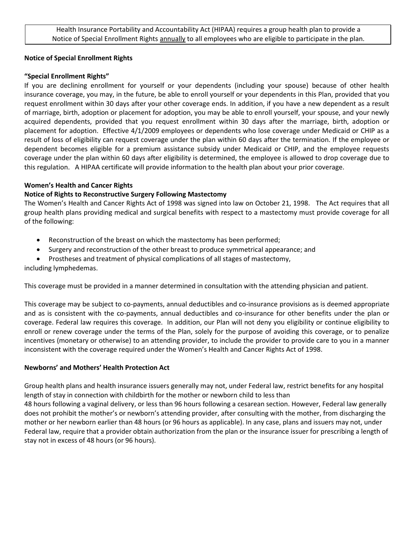Health Insurance Portability and Accountability Act (HIPAA) requires a group health plan to provide a Notice of Special Enrollment Rights annually to all employees who are eligible to participate in the plan.

### **Notice of Special Enrollment Rights**

# **"Special Enrollment Rights"**

If you are declining enrollment for yourself or your dependents (including your spouse) because of other health insurance coverage, you may, in the future, be able to enroll yourself or your dependents in this Plan, provided that you request enrollment within 30 days after your other coverage ends. In addition, if you have a new dependent as a result of marriage, birth, adoption or placement for adoption, you may be able to enroll yourself, your spouse, and your newly acquired dependents, provided that you request enrollment within 30 days after the marriage, birth, adoption or placement for adoption. Effective 4/1/2009 employees or dependents who lose coverage under Medicaid or CHIP as a result of loss of eligibility can request coverage under the plan within 60 days after the termination. If the employee or dependent becomes eligible for a premium assistance subsidy under Medicaid or CHIP, and the employee requests coverage under the plan within 60 days after eligibility is determined, the employee is allowed to drop coverage due to this regulation. A HIPAA certificate will provide information to the health plan about your prior coverage.

### **Women's Health and Cancer Rights**

# **Notice of Rights to Reconstructive Surgery Following Mastectomy**

The Women's Health and Cancer Rights Act of 1998 was signed into law on October 21, 1998. The Act requires that all group health plans providing medical and surgical benefits with respect to a mastectomy must provide coverage for all of the following:

- Reconstruction of the breast on which the mastectomy has been performed;
- Surgery and reconstruction of the other breast to produce symmetrical appearance; and
- Prostheses and treatment of physical complications of all stages of mastectomy,

including lymphedemas.

This coverage must be provided in a manner determined in consultation with the attending physician and patient.

This coverage may be subject to co-payments, annual deductibles and co-insurance provisions as is deemed appropriate and as is consistent with the co-payments, annual deductibles and co-insurance for other benefits under the plan or coverage. Federal law requires this coverage. In addition, our Plan will not deny you eligibility or continue eligibility to enroll or renew coverage under the terms of the Plan, solely for the purpose of avoiding this coverage, or to penalize incentives (monetary or otherwise) to an attending provider, to include the provider to provide care to you in a manner inconsistent with the coverage required under the Women's Health and Cancer Rights Act of 1998.

### **Newborns' and Mothers' Health Protection Act**

Group health plans and health insurance issuers generally may not, under Federal law, restrict benefits for any hospital length of stay in connection with childbirth for the mother or newborn child to less than

48 hours following a vaginal delivery, or less than 96 hours following a cesarean section. However, Federal law generally does not prohibit the mother's or newborn's attending provider, after consulting with the mother, from discharging the mother or her newborn earlier than 48 hours (or 96 hours as applicable). In any case, plans and issuers may not, under Federal law, require that a provider obtain authorization from the plan or the insurance issuer for prescribing a length of stay not in excess of 48 hours (or 96 hours).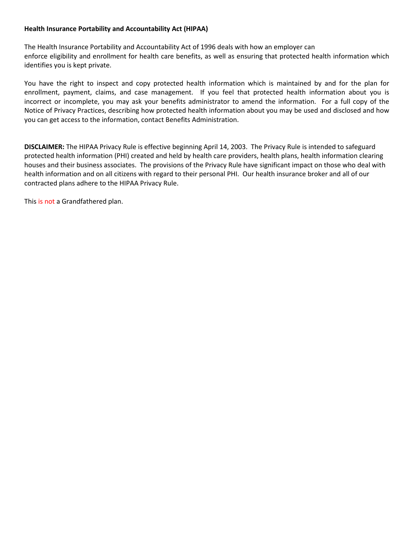### **Health Insurance Portability and Accountability Act (HIPAA)**

The Health Insurance Portability and Accountability Act of 1996 deals with how an employer can enforce eligibility and enrollment for health care benefits, as well as ensuring that protected health information which identifies you is kept private.

You have the right to inspect and copy protected health information which is maintained by and for the plan for enrollment, payment, claims, and case management. If you feel that protected health information about you is incorrect or incomplete, you may ask your benefits administrator to amend the information. For a full copy of the Notice of Privacy Practices, describing how protected health information about you may be used and disclosed and how you can get access to the information, contact Benefits Administration.

**DISCLAIMER:** The HIPAA Privacy Rule is effective beginning April 14, 2003. The Privacy Rule is intended to safeguard protected health information (PHI) created and held by health care providers, health plans, health information clearing houses and their business associates. The provisions of the Privacy Rule have significant impact on those who deal with health information and on all citizens with regard to their personal PHI. Our health insurance broker and all of our contracted plans adhere to the HIPAA Privacy Rule.

This is not a Grandfathered plan.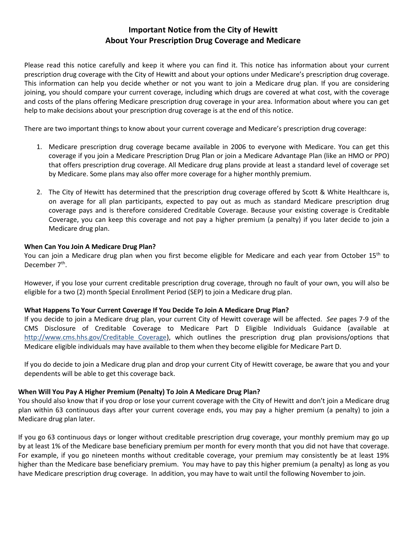# **Important Notice from the City of Hewitt About Your Prescription Drug Coverage and Medicare**

Please read this notice carefully and keep it where you can find it. This notice has information about your current prescription drug coverage with the City of Hewitt and about your options under Medicare's prescription drug coverage. This information can help you decide whether or not you want to join a Medicare drug plan. If you are considering joining, you should compare your current coverage, including which drugs are covered at what cost, with the coverage and costs of the plans offering Medicare prescription drug coverage in your area. Information about where you can get help to make decisions about your prescription drug coverage is at the end of this notice.

There are two important things to know about your current coverage and Medicare's prescription drug coverage:

- 1. Medicare prescription drug coverage became available in 2006 to everyone with Medicare. You can get this coverage if you join a Medicare Prescription Drug Plan or join a Medicare Advantage Plan (like an HMO or PPO) that offers prescription drug coverage. All Medicare drug plans provide at least a standard level of coverage set by Medicare. Some plans may also offer more coverage for a higher monthly premium.
- 2. The City of Hewitt has determined that the prescription drug coverage offered by Scott & White Healthcare is, on average for all plan participants, expected to pay out as much as standard Medicare prescription drug coverage pays and is therefore considered Creditable Coverage. Because your existing coverage is Creditable Coverage, you can keep this coverage and not pay a higher premium (a penalty) if you later decide to join a Medicare drug plan.

### **When Can You Join A Medicare Drug Plan?**

You can join a Medicare drug plan when you first become eligible for Medicare and each year from October 15<sup>th</sup> to December 7<sup>th</sup>.

However, if you lose your current creditable prescription drug coverage, through no fault of your own, you will also be eligible for a two (2) month Special Enrollment Period (SEP) to join a Medicare drug plan.

### **What Happens To Your Current Coverage If You Decide To Join A Medicare Drug Plan?**

If you decide to join a Medicare drug plan, your current City of Hewitt coverage will be affected. *See* pages 7-9 of the CMS Disclosure of Creditable Coverage to Medicare Part D Eligible Individuals Guidance (available at http://www.cms.hhs.gov/Creditable Coverage), which outlines the prescription drug plan provisions/options that Medicare eligible individuals may have available to them when they become eligible for Medicare Part D.

If you do decide to join a Medicare drug plan and drop your current City of Hewitt coverage, be aware that you and your dependents will be able to get this coverage back.

### **When Will You Pay A Higher Premium (Penalty) To Join A Medicare Drug Plan?**

You should also know that if you drop or lose your current coverage with the City of Hewitt and don't join a Medicare drug plan within 63 continuous days after your current coverage ends, you may pay a higher premium (a penalty) to join a Medicare drug plan later.

If you go 63 continuous days or longer without creditable prescription drug coverage, your monthly premium may go up by at least 1% of the Medicare base beneficiary premium per month for every month that you did not have that coverage. For example, if you go nineteen months without creditable coverage, your premium may consistently be at least 19% higher than the Medicare base beneficiary premium. You may have to pay this higher premium (a penalty) as long as you have Medicare prescription drug coverage. In addition, you may have to wait until the following November to join.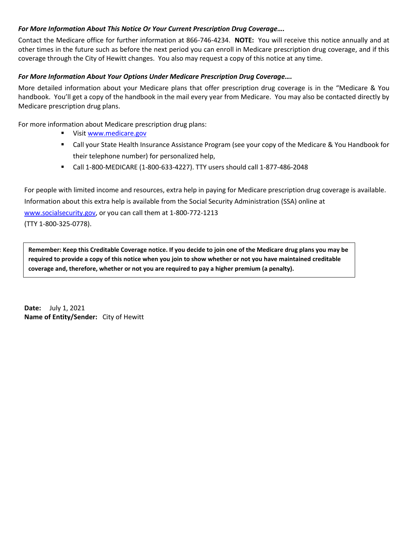## *For More Information About This Notice Or Your Current Prescription Drug Coverage….*

Contact the Medicare office for further information at 866-746-4234. **NOTE:** You will receive this notice annually and at other times in the future such as before the next period you can enroll in Medicare prescription drug coverage, and if this coverage through the City of Hewitt changes. You also may request a copy of this notice at any time.

# *For More Information About Your Options Under Medicare Prescription Drug Coverage….*

More detailed information about your Medicare plans that offer prescription drug coverage is in the "Medicare & You handbook. You'll get a copy of the handbook in the mail every year from Medicare. You may also be contacted directly by Medicare prescription drug plans.

For more information about Medicare prescription drug plans:

- Visit [www.medicare.gov](http://www.medicare.gov/)
- Call your State Health Insurance Assistance Program (see your copy of the Medicare & You Handbook for their telephone number) for personalized help,
- Call 1-800-MEDICARE (1-800-633-4227). TTY users should call 1-877-486-2048

For people with limited income and resources, extra help in paying for Medicare prescription drug coverage is available. Information about this extra help is available from the Social Security Administration (SSA) online at [www.socialsecurity.gov,](http://www.socialsecurity.gov/) or you can call them at 1-800-772-1213 (TTY 1-800-325-0778).

**Remember: Keep this Creditable Coverage notice. If you decide to join one of the Medicare drug plans you may be required to provide a copy of this notice when you join to show whether or not you have maintained creditable coverage and, therefore, whether or not you are required to pay a higher premium (a penalty).**

**Date:** July 1, 2021 **Name of Entity/Sender:** City of Hewitt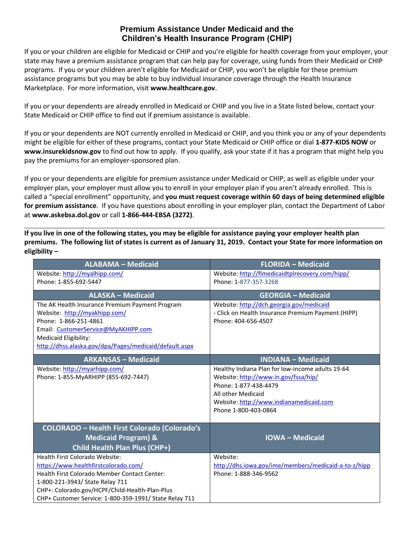# **Premium Assistance Under Medicaid and the Children's Health Insurance Program (CHIP)**

If you or your children are eligible for Medicaid or CHIP and you're eligible for health coverage from your employer, your state may have a premium assistance program that can help pay for coverage, using funds from their Medicaid or CHIP programs. If you or your children aren't eligible for Medicaid or CHIP, you won't be eligible for these premium assistance programs but you may be able to buy individual insurance coverage through the Health Insurance Marketplace. For more information, visit **[www.healthcare.gov](http://www.healthcare.gov/)**.

If you or your dependents are already enrolled in Medicaid or CHIP and you live in a State listed below, contact your State Medicaid or CHIP office to find out if premium assistance is available.

If you or your dependents are NOT currently enrolled in Medicaid or CHIP, and you think you or any of your dependents might be eligible for either of these programs, contact your State Medicaid or CHIP office or dial **1-877-KIDS NOW** or **[www.insurekidsnow.gov](http://www.insurekidsnow.gov/)** to find out how to apply. If you qualify, ask your state if it has a program that might help you pay the premiums for an employer-sponsored plan.

If you or your dependents are eligible for premium assistance under Medicaid or CHIP, as well as eligible under your employer plan, your employer must allow you to enroll in your employer plan if you aren't already enrolled. This is called a "special enrollment" opportunity, and **you must request coverage within 60 days of being determined eligible for premium assistance**. If you have questions about enrolling in your employer plan, contact the Department of Labor at **[www.askebsa.dol.gov](http://www.askebsa.dol.gov/)** or call **1-866-444-EBSA (3272)**.

**If you live in one of the following states, you may be eligible for assistance paying your employer health plan premiums. The following list of states is current as of January 31, 2019. Contact your State for more information on eligibility –**

| <b>ALABAMA - Medicaid</b>                              | <b>FLORIDA - Medicaid</b>                            |
|--------------------------------------------------------|------------------------------------------------------|
| Website: http://myalhipp.com/                          | Website: http://flmedicaidtplrecovery.com/hipp/      |
| Phone: 1-855-692-5447                                  | Phone: 1-877-357-3268                                |
| <b>ALASKA - Medicaid</b>                               | <b>GEORGIA - Medicaid</b>                            |
| The AK Health Insurance Premium Payment Program        | Website: http://dch.georgia.gov/medicaid             |
| Website: http://myakhipp.com/                          | - Click on Health Insurance Premium Payment (HIPP)   |
| Phone: 1-866-251-4861                                  | Phone: 404-656-4507                                  |
| Email: CustomerService@MyAKHIPP.com                    |                                                      |
| Medicaid Eligibility:                                  |                                                      |
| http://dhss.alaska.gov/dpa/Pages/medicaid/default.aspx |                                                      |
| <b>ARKANSAS - Medicaid</b>                             | <b>INDIANA - Medicaid</b>                            |
| Website: http://myarhipp.com/                          | Healthy Indiana Plan for low-income adults 19-64     |
| Phone: 1-855-MyARHIPP (855-692-7447)                   | Website: http://www.in.gov/fssa/hip/                 |
|                                                        | Phone: 1-877-438-4479                                |
|                                                        | All other Medicaid                                   |
|                                                        | Website: http://www.indianamedicaid.com              |
|                                                        | Phone 1-800-403-0864                                 |
|                                                        |                                                      |
| <b>COLORADO - Health First Colorado (Colorado's</b>    |                                                      |
| <b>Medicaid Program) &amp;</b>                         | <b>IOWA-Medicaid</b>                                 |
| Child Health Plan Plus (CHP+)                          |                                                      |
| <b>Health First Colorado Website:</b>                  | Website:                                             |
| https://www.healthfirstcolorado.com/                   | http://dhs.iowa.gov/ime/members/medicaid-a-to-z/hipp |
| Health First Colorado Member Contact Center:           | Phone: 1-888-346-9562                                |
| 1-800-221-3943/ State Relay 711                        |                                                      |
| CHP+: Colorado.gov/HCPF/Child-Health-Plan-Plus         |                                                      |
| CHP+ Customer Service: 1-800-359-1991/ State Relay 711 |                                                      |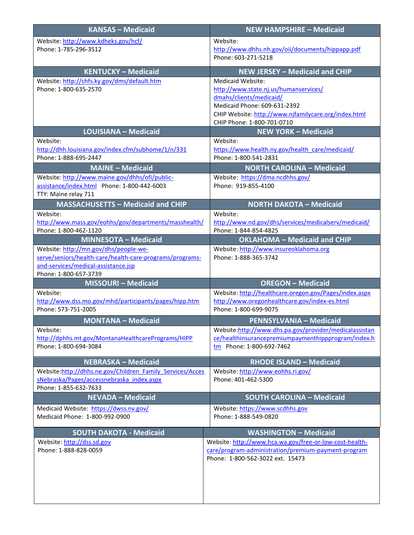| <b>KANSAS - Medicaid</b>                                     | <b>NEW HAMPSHIRE - Medicaid</b>                         |
|--------------------------------------------------------------|---------------------------------------------------------|
| Website: http://www.kdheks.gov/hcf/                          | Website:                                                |
| Phone: 1-785-296-3512                                        | http://www.dhhs.nh.gov/oii/documents/hippapp.pdf        |
|                                                              | Phone: 603-271-5218                                     |
| <b>KENTUCKY - Medicaid</b>                                   | <b>NEW JERSEY - Medicaid and CHIP</b>                   |
| Website: http://chfs.ky.gov/dms/default.htm                  | Medicaid Website:                                       |
| Phone: 1-800-635-2570                                        | http://www.state.nj.us/humanservices/                   |
|                                                              | dmahs/clients/medicaid/                                 |
|                                                              | Medicaid Phone: 609-631-2392                            |
|                                                              | CHIP Website: http://www.njfamilycare.org/index.html    |
|                                                              | CHIP Phone: 1-800-701-0710                              |
| <b>LOUISIANA - Medicaid</b>                                  | <b>NEW YORK - Medicaid</b>                              |
| Website:                                                     | Website:                                                |
| http://dhh.louisiana.gov/index.cfm/subhome/1/n/331           | https://www.health.ny.gov/health_care/medicaid/         |
| Phone: 1-888-695-2447                                        | Phone: 1-800-541-2831                                   |
| <b>MAINE - Medicaid</b>                                      | <b>NORTH CAROLINA - Medicaid</b>                        |
| Website: http://www.maine.gov/dhhs/ofi/public-               | Website: https://dma.ncdhhs.gov/                        |
| assistance/index.html Phone: 1-800-442-6003                  | Phone: 919-855-4100                                     |
| TTY: Maine relay 711                                         |                                                         |
| <b>MASSACHUSETTS - Medicaid and CHIP</b>                     | <b>NORTH DAKOTA - Medicaid</b>                          |
| Website:                                                     | Website:                                                |
| http://www.mass.gov/eohhs/gov/departments/masshealth/        | http://www.nd.gov/dhs/services/medicalserv/medicaid/    |
| Phone: 1-800-462-1120                                        | Phone: 1-844-854-4825                                   |
| <b>MINNESOTA - Medicaid</b>                                  | <b>OKLAHOMA - Medicaid and CHIP</b>                     |
| Website: http://mn.gov/dhs/people-we-                        | Website: http://www.insureoklahoma.org                  |
| serve/seniors/health-care/health-care-programs/programs-     | Phone: 1-888-365-3742                                   |
| and-services/medical-assistance.jsp<br>Phone: 1-800-657-3739 |                                                         |
| MISSOURI - Medicaid                                          | <b>OREGON - Medicaid</b>                                |
| Website:                                                     | Website: http://healthcare.oregon.gov/Pages/index.aspx  |
| http://www.dss.mo.gov/mhd/participants/pages/hipp.htm        | http://www.oregonhealthcare.gov/index-es.html           |
| Phone: 573-751-2005                                          | Phone: 1-800-699-9075                                   |
| <b>MONTANA - Medicaid</b>                                    | PENNSYLVANIA - Medicaid                                 |
| Website:                                                     | Website:http://www.dhs.pa.gov/provider/medicalassistan  |
| http://dphhs.mt.gov/MontanaHealthcarePrograms/HIPP           | ce/healthinsurancepremiumpaymenthippprogram/index.h     |
| Phone: 1-800-694-3084                                        | tm Phone: 1-800-692-7462                                |
|                                                              |                                                         |
| <b>NEBRASKA - Medicaid</b>                                   | <b>RHODE ISLAND - Medicaid</b>                          |
| Website:http://dhhs.ne.gov/Children Family Services/Acces    | Website: http://www.eohhs.ri.gov/                       |
| sNebraska/Pages/accessnebraska index.aspx                    | Phone: 401-462-5300                                     |
| Phone: 1-855-632-7633<br><b>NEVADA - Medicaid</b>            | <b>SOUTH CAROLINA - Medicaid</b>                        |
|                                                              |                                                         |
| Medicaid Website: https://dwss.nv.gov/                       | Website: https://www.scdhhs.gov                         |
| Medicaid Phone: 1-800-992-0900                               | Phone: 1-888-549-0820                                   |
| <b>SOUTH DAKOTA - Medicaid</b>                               | <b>WASHINGTON - Medicaid</b>                            |
| Website: http://dss.sd.gov                                   | Website: http://www.hca.wa.gov/free-or-low-cost-health- |
| Phone: 1-888-828-0059                                        | care/program-administration/premium-payment-program     |
|                                                              | Phone: 1-800-562-3022 ext. 15473                        |
|                                                              |                                                         |
|                                                              |                                                         |
|                                                              |                                                         |
|                                                              |                                                         |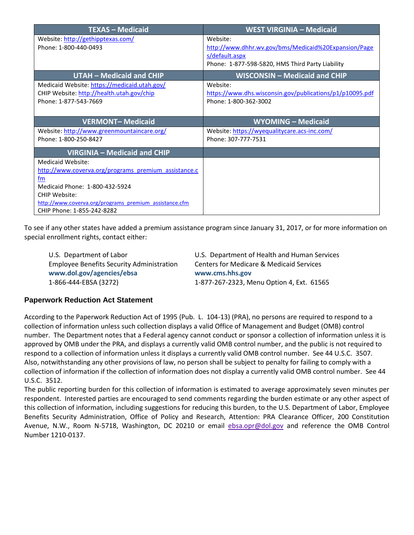| <b>TEXAS - Medicaid</b>                                | <b>WEST VIRGINIA - Medicaid</b>                          |
|--------------------------------------------------------|----------------------------------------------------------|
| Website: http://gethipptexas.com/                      | Website:                                                 |
| Phone: 1-800-440-0493                                  | http://www.dhhr.wv.gov/bms/Medicaid%20Expansion/Page     |
|                                                        | s/default.aspx                                           |
|                                                        | Phone: 1-877-598-5820, HMS Third Party Liability         |
| <b>UTAH - Medicaid and CHIP</b>                        | WISCONSIN - Medicaid and CHIP                            |
| Medicaid Website: https://medicaid.utah.gov/           | Website:                                                 |
| CHIP Website: http://health.utah.gov/chip              | https://www.dhs.wisconsin.gov/publications/p1/p10095.pdf |
| Phone: 1-877-543-7669                                  | Phone: 1-800-362-3002                                    |
|                                                        |                                                          |
| <b>VERMONT-Medicaid</b>                                | <b>WYOMING - Medicaid</b>                                |
| Website: http://www.greenmountaincare.org/             | Website: https://wyequalitycare.acs-inc.com/             |
| Phone: 1-800-250-8427                                  | Phone: 307-777-7531                                      |
| VIRGINIA - Medicaid and CHIP                           |                                                          |
| Medicaid Website:                                      |                                                          |
| http://www.coverva.org/programs premium assistance.c   |                                                          |
| fm                                                     |                                                          |
| Medicaid Phone: 1-800-432-5924                         |                                                          |
| CHIP Website:                                          |                                                          |
| http://www.coverva.org/programs premium assistance.cfm |                                                          |
| CHIP Phone: 1-855-242-8282                             |                                                          |

To see if any other states have added a premium assistance program since January 31, 2017, or for more information on special enrollment rights, contact either:

| U.S. Department of Labor                         | U.S. Department of Health and Human Services |
|--------------------------------------------------|----------------------------------------------|
| <b>Employee Benefits Security Administration</b> | Centers for Medicare & Medicaid Services     |
| www.dol.gov/agencies/ebsa                        | www.cms.hhs.gov                              |
| 1-866-444-EBSA (3272)                            | 1-877-267-2323, Menu Option 4, Ext. 61565    |

# **Paperwork Reduction Act Statement**

According to the Paperwork Reduction Act of 1995 (Pub. L. 104-13) (PRA), no persons are required to respond to a collection of information unless such collection displays a valid Office of Management and Budget (OMB) control number. The Department notes that a Federal agency cannot conduct or sponsor a collection of information unless it is approved by OMB under the PRA, and displays a currently valid OMB control number, and the public is not required to respond to a collection of information unless it displays a currently valid OMB control number. See 44 U.S.C. 3507. Also, notwithstanding any other provisions of law, no person shall be subject to penalty for failing to comply with a collection of information if the collection of information does not display a currently valid OMB control number. See 44 U.S.C. 3512.

The public reporting burden for this collection of information is estimated to average approximately seven minutes per respondent. Interested parties are encouraged to send comments regarding the burden estimate or any other aspect of this collection of information, including suggestions for reducing this burden, to the U.S. Department of Labor, Employee Benefits Security Administration, Office of Policy and Research, Attention: PRA Clearance Officer, 200 Constitution Avenue, N.W., Room N-5718, Washington, DC 20210 or email [ebsa.opr@dol.gov](mailto:ebsa.opr@dol.gov) and reference the OMB Control Number 1210-0137.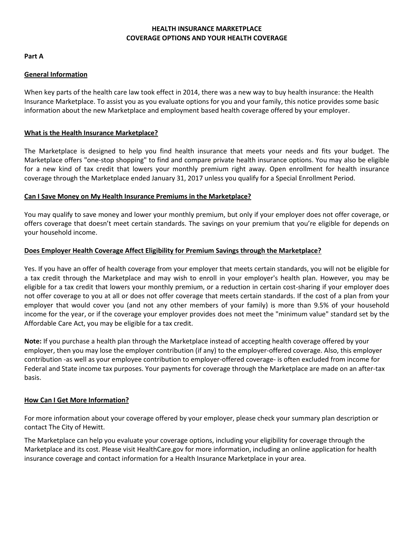# **HEALTH INSURANCE MARKETPLACE COVERAGE OPTIONS AND YOUR HEALTH COVERAGE**

**Part A**

## **General Information**

When key parts of the health care law took effect in 2014, there was a new way to buy health insurance: the Health Insurance Marketplace. To assist you as you evaluate options for you and your family, this notice provides some basic information about the new Marketplace and employment based health coverage offered by your employer.

# **What is the Health Insurance Marketplace?**

The Marketplace is designed to help you find health insurance that meets your needs and fits your budget. The Marketplace offers "one-stop shopping" to find and compare private health insurance options. You may also be eligible for a new kind of tax credit that lowers your monthly premium right away. Open enrollment for health insurance coverage through the Marketplace ended January 31, 2017 unless you qualify for a Special Enrollment Period.

### **Can I Save Money on My Health Insurance Premiums in the Marketplace?**

You may qualify to save money and lower your monthly premium, but only if your employer does not offer coverage, or offers coverage that doesn't meet certain standards. The savings on your premium that you're eligible for depends on your household income.

# **Does Employer Health Coverage Affect Eligibility for Premium Savings through the Marketplace?**

Yes. If you have an offer of health coverage from your employer that meets certain standards, you will not be eligible for a tax credit through the Marketplace and may wish to enroll in your employer's health plan. However, you may be eligible for a tax credit that lowers your monthly premium, or a reduction in certain cost-sharing if your employer does not offer coverage to you at all or does not offer coverage that meets certain standards. If the cost of a plan from your employer that would cover you (and not any other members of your family) is more than 9.5% of your household income for the year, or if the coverage your employer provides does not meet the "minimum value" standard set by the Affordable Care Act, you may be eligible for a tax credit.

**Note:** If you purchase a health plan through the Marketplace instead of accepting health coverage offered by your employer, then you may lose the employer contribution (if any) to the employer-offered coverage. Also, this employer contribution -as well as your employee contribution to employer-offered coverage- is often excluded from income for Federal and State income tax purposes. Your payments for coverage through the Marketplace are made on an after-tax basis.

### **How Can I Get More Information?**

For more information about your coverage offered by your employer, please check your summary plan description or contact The City of Hewitt.

The Marketplace can help you evaluate your coverage options, including your eligibility for coverage through the Marketplace and its cost. Please visi[t HealthCare.gov f](http://www.healthcare.gov/)or more information, including an online application for health insurance coverage and contact information for a Health Insurance Marketplace in your area.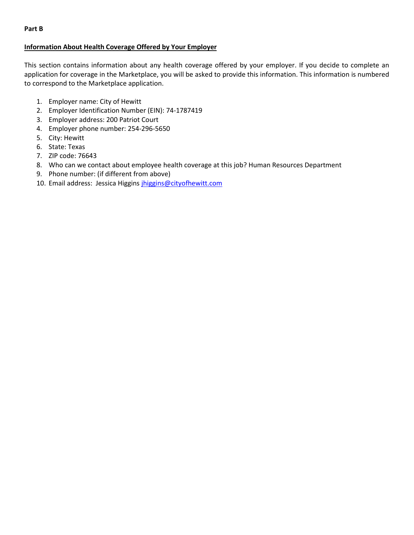# **Information About Health Coverage Offered by Your Employer**

This section contains information about any health coverage offered by your employer. If you decide to complete an application for coverage in the Marketplace, you will be asked to provide this information. This information is numbered to correspond to the Marketplace application.

- 1. Employer name: City of Hewitt
- 2. Employer Identification Number (EIN): 74-1787419
- 3. Employer address: 200 Patriot Court
- 4. Employer phone number: 254-296-5650
- 5. City: Hewitt
- 6. State: Texas
- 7. ZIP code: 76643
- 8. Who can we contact about employee health coverage at this job? Human Resources Department
- 9. Phone number: (if different from above)
- 10. Email address: Jessica Higgins [jhiggins@cityofhewitt.com](mailto:jhiggins@cityofhewitt.com)